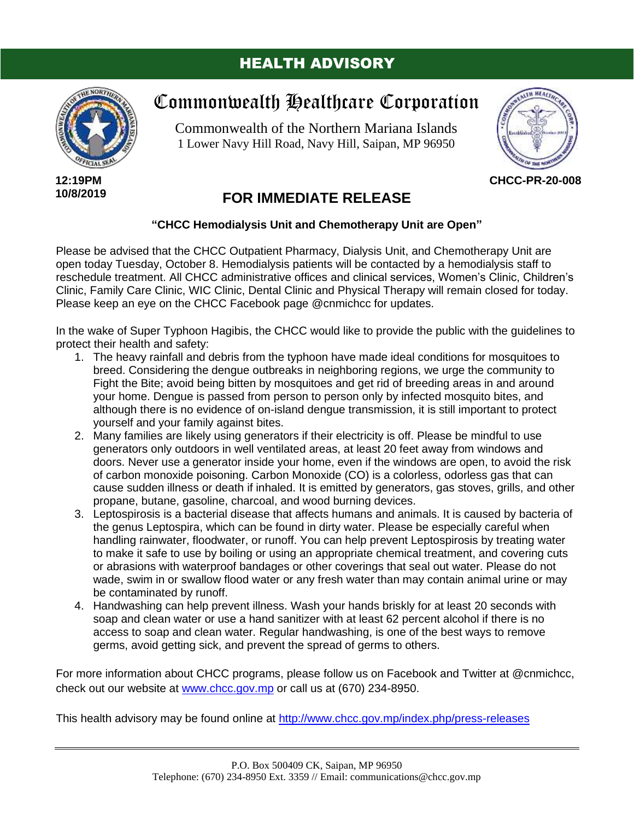## HEALTH ADVISORY



**12:19PM 10/8/2019**

## Commonwealth Healthcare Corporation

Commonwealth of the Northern Mariana Islands 1 Lower Navy Hill Road, Navy Hill, Saipan, MP 96950



**CHCC-PR-20-008**

## **FOR IMMEDIATE RELEASE**

## **"CHCC Hemodialysis Unit and Chemotherapy Unit are Open"**

Please be advised that the CHCC Outpatient Pharmacy, Dialysis Unit, and Chemotherapy Unit are open today Tuesday, October 8. Hemodialysis patients will be contacted by a hemodialysis staff to reschedule treatment. All CHCC administrative offices and clinical services, Women's Clinic, Children's Clinic, Family Care Clinic, WIC Clinic, Dental Clinic and Physical Therapy will remain closed for today. Please keep an eye on the CHCC Facebook page @cnmichcc for updates.

In the wake of Super Typhoon Hagibis, the CHCC would like to provide the public with the guidelines to protect their health and safety:

- 1. The heavy rainfall and debris from the typhoon have made ideal conditions for mosquitoes to breed. Considering the dengue outbreaks in neighboring regions, we urge the community to Fight the Bite; avoid being bitten by mosquitoes and get rid of breeding areas in and around your home. Dengue is passed from person to person only by infected mosquito bites, and although there is no evidence of on-island dengue transmission, it is still important to protect yourself and your family against bites.
- 2. Many families are likely using generators if their electricity is off. Please be mindful to use generators only outdoors in well ventilated areas, at least 20 feet away from windows and doors. Never use a generator inside your home, even if the windows are open, to avoid the risk of carbon monoxide poisoning. Carbon Monoxide (CO) is a colorless, odorless gas that can cause sudden illness or death if inhaled. It is emitted by generators, gas stoves, grills, and other propane, butane, gasoline, charcoal, and wood burning devices.
- 3. Leptospirosis is a bacterial disease that affects humans and animals. It is caused by bacteria of the genus Leptospira, which can be found in dirty water. Please be especially careful when handling rainwater, floodwater, or runoff. You can help prevent Leptospirosis by treating water to make it safe to use by boiling or using an appropriate chemical treatment, and covering cuts or abrasions with waterproof bandages or other coverings that seal out water. Please do not wade, swim in or swallow flood water or any fresh water than may contain animal urine or may be contaminated by runoff.
- 4. Handwashing can help prevent illness. Wash your hands briskly for at least 20 seconds with soap and clean water or use a hand sanitizer with at least 62 percent alcohol if there is no access to soap and clean water. Regular handwashing, is one of the best ways to remove germs, avoid getting sick, and prevent the spread of germs to others.

For more information about CHCC programs, please follow us on Facebook and Twitter at @cnmichcc, check out our website at [www.chcc.gov.mp](http://www.chcc.gov.mp/) or call us at (670) 234-8950.

This health advisory may be found online at<http://www.chcc.gov.mp/index.php/press-releases>